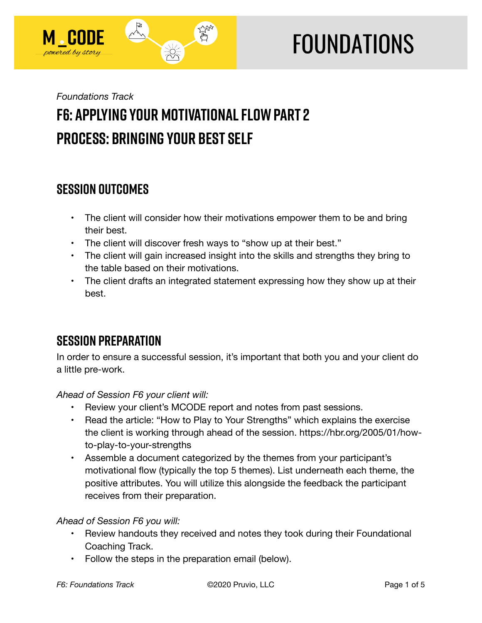

# **FOUNDATIONS**

## *Foundations Track*  **F6: Applying Your Motivational Flow Part 2 Process: Bringing Your Best Self**

## **SESSION OUTCOMES**

- The client will consider how their motivations empower them to be and bring their best.
- The client will discover fresh ways to "show up at their best."
- The client will gain increased insight into the skills and strengths they bring to the table based on their motivations.
- The client drafts an integrated statement expressing how they show up at their best.

## **SESSION PREPARATION**

In order to ensure a successful session, it's important that both you and your client do a little pre-work.

*Ahead of Session F6 your client will:* 

- Review your client's MCODE report and notes from past sessions.
- Read the article: "How to Play to Your Strengths" which explains the exercise the client is working through ahead of the session. https://hbr.org/2005/01/howto-play-to-your-strengths
- Assemble a document categorized by the themes from your participant's motivational flow (typically the top 5 themes). List underneath each theme, the positive attributes. You will utilize this alongside the feedback the participant receives from their preparation.

#### *Ahead of Session F6 you will:*

- Review handouts they received and notes they took during their Foundational Coaching Track.
- Follow the steps in the preparation email (below).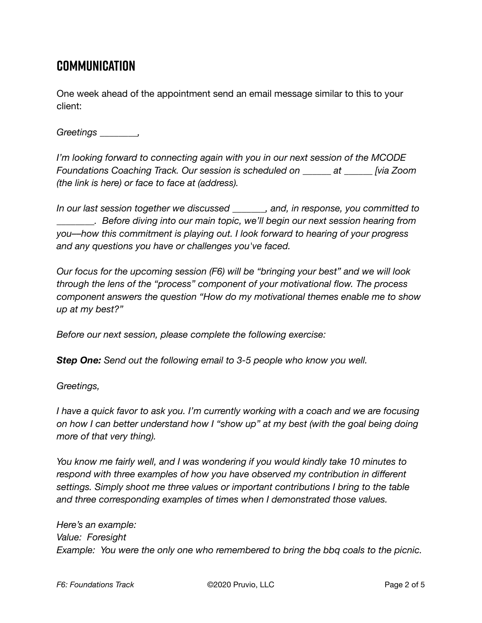## **Communication**

One week ahead of the appointment send an email message similar to this to your client:

*Greetings \_\_\_\_\_\_\_\_,* 

*I'm looking forward to connecting again with you in our next session of the MCODE Foundations Coaching Track. Our session is scheduled on \_\_\_\_\_\_ at \_\_\_\_\_\_ [via Zoom (the link is here) or face to face at (address).* 

*In our last session together we discussed \_\_\_\_\_\_\_, and, in response, you committed to \_\_\_\_\_\_\_\_. Before diving into our main topic, we'll begin our next session hearing from you––how this commitment is playing out. I look forward to hearing of your progress and any questions you have or challenges you've faced.* 

*Our focus for the upcoming session (F6) will be "bringing your best" and we will look through the lens of the "process" component of your motivational flow. The process component answers the question "How do my motivational themes enable me to show up at my best?"* 

*Before our next session, please complete the following exercise:* 

*Step One: Send out the following email to 3-5 people who know you well.* 

*Greetings,* 

*I have a quick favor to ask you. I'm currently working with a coach and we are focusing on how I can better understand how I "show up" at my best (with the goal being doing more of that very thing).* 

*You know me fairly well, and I was wondering if you would kindly take 10 minutes to respond with three examples of how you have observed my contribution in different settings. Simply shoot me three values or important contributions I bring to the table and three corresponding examples of times when I demonstrated those values.* 

*Here's an example: Value: Foresight Example: You were the only one who remembered to bring the bbq coals to the picnic.*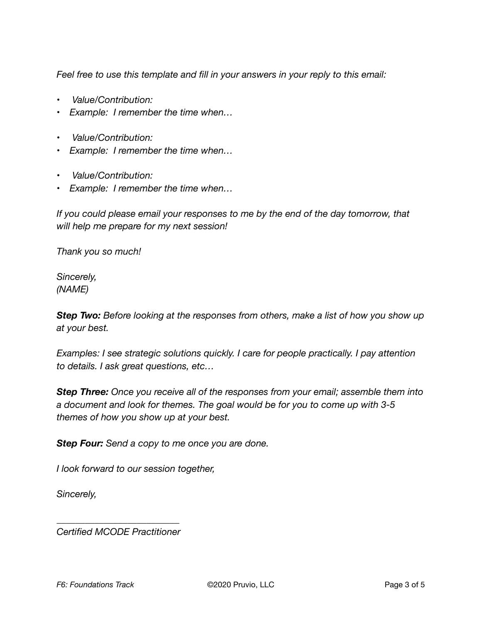*Feel free to use this template and fill in your answers in your reply to this email:* 

- • *Value/Contribution:*
- *Example: I remember the time when…*
- • *Value/Contribution:*
- *Example: I remember the time when…*
- • *Value/Contribution:*
- *Example: I remember the time when…*

*If you could please email your responses to me by the end of the day tomorrow, that will help me prepare for my next session!* 

*Thank you so much!* 

*Sincerely, (NAME)* 

*Step Two: Before looking at the responses from others, make a list of how you show up at your best.* 

*Examples: I see strategic solutions quickly. I care for people practically. I pay attention to details. I ask great questions, etc…* 

*Step Three: Once you receive all of the responses from your email; assemble them into a document and look for themes. The goal would be for you to come up with 3-5 themes of how you show up at your best.* 

*Step Four: Send a copy to me once you are done.* 

*I look forward to our session together,* 

*Sincerely,* 

*\_\_\_\_\_\_\_\_\_\_\_\_\_\_\_\_\_\_\_\_\_\_\_\_\_\_ Certified MCODE Practitioner*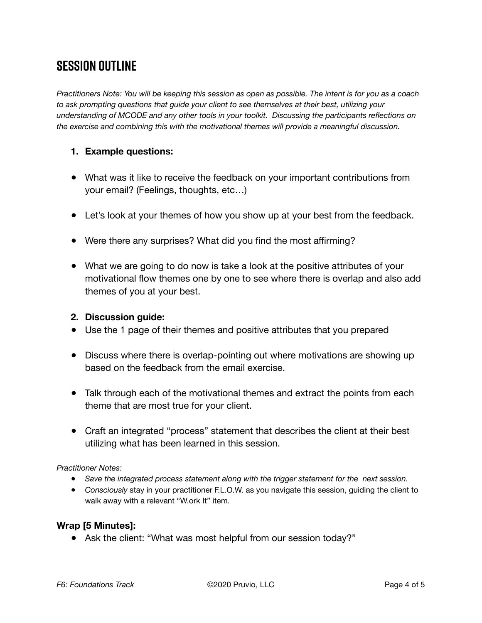## **SESSION OUTLINE**

*Practitioners Note: You will be keeping this session as open as possible. The intent is for you as a coach to ask prompting questions that guide your client to see themselves at their best, utilizing your understanding of MCODE and any other tools in your toolkit. Discussing the participants reflections on the exercise and combining this with the motivational themes will provide a meaningful discussion.*

#### **1. Example questions:**

- What was it like to receive the feedback on your important contributions from your email? (Feelings, thoughts, etc…)
- Let's look at your themes of how you show up at your best from the feedback.
- Were there any surprises? What did you find the most affirming?
- What we are going to do now is take a look at the positive attributes of your motivational flow themes one by one to see where there is overlap and also add themes of you at your best.

#### **2. Discussion guide:**

- Use the 1 page of their themes and positive attributes that you prepared
- Discuss where there is overlap-pointing out where motivations are showing up based on the feedback from the email exercise.
- Talk through each of the motivational themes and extract the points from each theme that are most true for your client.
- Craft an integrated "process" statement that describes the client at their best utilizing what has been learned in this session.

#### *Practitioner Notes:*

- *Save the integrated process statement along with the trigger statement for the next session.*
- *Consciously* stay in your practitioner F.L.O.W. as you navigate this session, guiding the client to walk away with a relevant "W.ork It" item.

#### **Wrap [5 Minutes]:**

• Ask the client: "What was most helpful from our session today?"